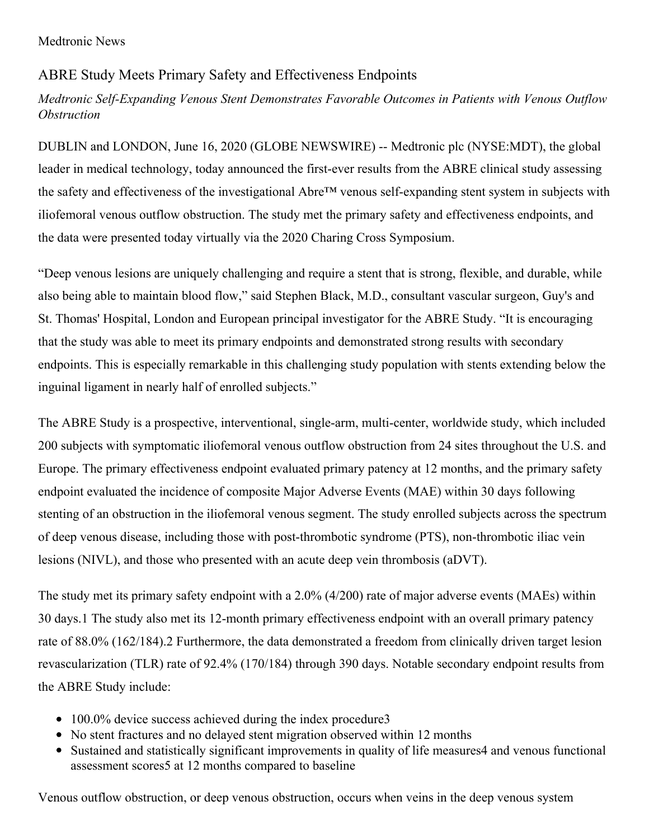## ABRE Study Meets Primary Safety and Effectiveness Endpoints

## *Medtronic Self-Expanding Venous Stent Demonstrates Favorable Outcomes in Patients with Venous Outflow Obstruction*

DUBLIN and LONDON, June 16, 2020 (GLOBE NEWSWIRE) -- Medtronic plc (NYSE:MDT), the global leader in medical technology, today announced the first-ever results from the ABRE clinical study assessing the safety and effectiveness of the investigational Abre™ venous self-expanding stent system in subjects with iliofemoral venous outflow obstruction. The study met the primary safety and effectiveness endpoints, and the data were presented today virtually via the 2020 Charing Cross Symposium.

"Deep venous lesions are uniquely challenging and require a stent that is strong, flexible, and durable, while also being able to maintain blood flow," said Stephen Black, M.D., consultant vascular surgeon, Guy's and St. Thomas' Hospital, London and European principal investigator for the ABRE Study. "It is encouraging that the study was able to meet its primary endpoints and demonstrated strong results with secondary endpoints. This is especially remarkable in this challenging study population with stents extending below the inguinal ligament in nearly half of enrolled subjects."

The ABRE Study is a prospective, interventional, single-arm, multi-center, worldwide study, which included 200 subjects with symptomatic iliofemoral venous outflow obstruction from 24 sites throughout the U.S. and Europe. The primary effectiveness endpoint evaluated primary patency at 12 months, and the primary safety endpoint evaluated the incidence of composite Major Adverse Events (MAE) within 30 days following stenting of an obstruction in the iliofemoral venous segment. The study enrolled subjects across the spectrum of deep venous disease, including those with post-thrombotic syndrome (PTS), non-thrombotic iliac vein lesions (NIVL), and those who presented with an acute deep vein thrombosis (aDVT).

The study met its primary safety endpoint with a 2.0% (4/200) rate of major adverse events (MAEs) within 30 days.1 The study also met its 12-month primary effectiveness endpoint with an overall primary patency rate of 88.0% (162/184).2 Furthermore, the data demonstrated a freedom from clinically driven target lesion revascularization (TLR) rate of 92.4% (170/184) through 390 days. Notable secondary endpoint results from the ABRE Study include:

- 100.0% device success achieved during the index procedure3
- No stent fractures and no delayed stent migration observed within 12 months
- Sustained and statistically significant improvements in quality of life measures4 and venous functional assessment scores5 at 12 months compared to baseline

Venous outflow obstruction, or deep venous obstruction, occurs when veins in the deep venous system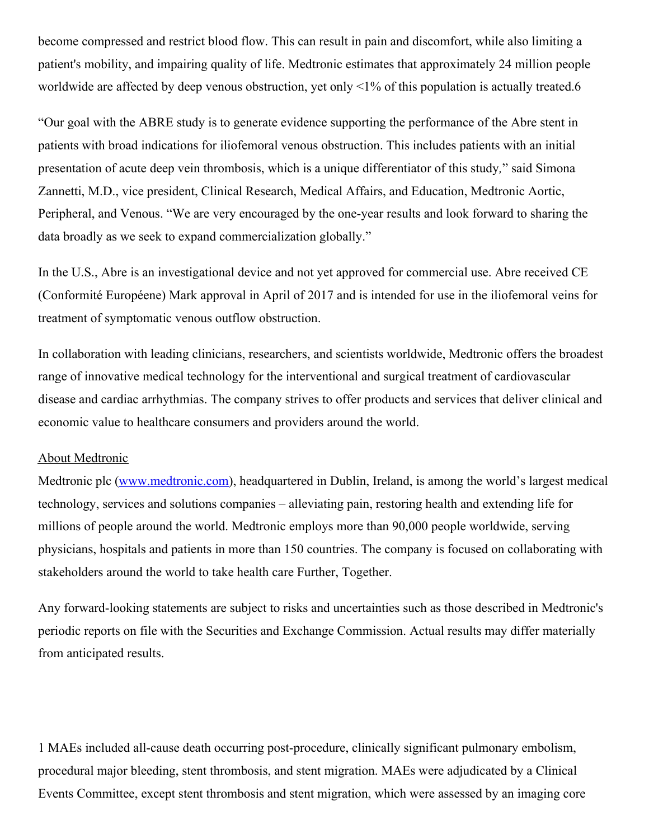become compressed and restrict blood flow. This can result in pain and discomfort, while also limiting a patient's mobility, and impairing quality of life. Medtronic estimates that approximately 24 million people worldwide are affected by deep venous obstruction, yet only <1% of this population is actually treated.6

"Our goal with the ABRE study is to generate evidence supporting the performance of the Abre stent in patients with broad indications for iliofemoral venous obstruction. This includes patients with an initial presentation of acute deep vein thrombosis, which is a unique differentiator of this study*,*" said Simona Zannetti, M.D., vice president, Clinical Research, Medical Affairs, and Education, Medtronic Aortic, Peripheral, and Venous. "We are very encouraged by the one-year results and look forward to sharing the data broadly as we seek to expand commercialization globally."

In the U.S., Abre is an investigational device and not yet approved for commercial use. Abre received CE (Conformité Européene) Mark approval in April of 2017 and is intended for use in the iliofemoral veins for treatment of symptomatic venous outflow obstruction.

In collaboration with leading clinicians, researchers, and scientists worldwide, Medtronic offers the broadest range of innovative medical technology for the interventional and surgical treatment of cardiovascular disease and cardiac arrhythmias. The company strives to offer products and services that deliver clinical and economic value to healthcare consumers and providers around the world.

## About Medtronic

Medtronic plc [\(www.medtronic.com\)](http://www.medtronic.com/), headquartered in Dublin, Ireland, is among the world's largest medical technology, services and solutions companies – alleviating pain, restoring health and extending life for millions of people around the world. Medtronic employs more than 90,000 people worldwide, serving physicians, hospitals and patients in more than 150 countries. The company is focused on collaborating with stakeholders around the world to take health care Further, Together.

Any forward-looking statements are subject to risks and uncertainties such as those described in Medtronic's periodic reports on file with the Securities and Exchange Commission. Actual results may differ materially from anticipated results.

1 MAEs included all-cause death occurring post-procedure, clinically significant pulmonary embolism, procedural major bleeding, stent thrombosis, and stent migration. MAEs were adjudicated by a Clinical Events Committee, except stent thrombosis and stent migration, which were assessed by an imaging core